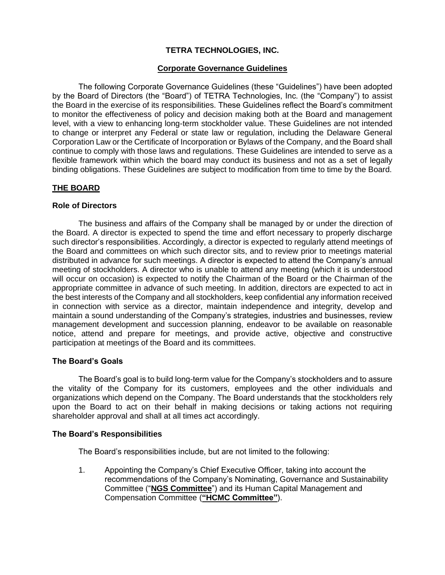# **TETRA TECHNOLOGIES, INC.**

### **Corporate Governance Guidelines**

The following Corporate Governance Guidelines (these "Guidelines") have been adopted by the Board of Directors (the "Board") of TETRA Technologies, Inc. (the "Company") to assist the Board in the exercise of its responsibilities. These Guidelines reflect the Board's commitment to monitor the effectiveness of policy and decision making both at the Board and management level, with a view to enhancing long-term stockholder value. These Guidelines are not intended to change or interpret any Federal or state law or regulation, including the Delaware General Corporation Law or the Certificate of Incorporation or Bylaws of the Company, and the Board shall continue to comply with those laws and regulations. These Guidelines are intended to serve as a flexible framework within which the board may conduct its business and not as a set of legally binding obligations. These Guidelines are subject to modification from time to time by the Board.

# **THE BOARD**

#### **Role of Directors**

The business and affairs of the Company shall be managed by or under the direction of the Board. A director is expected to spend the time and effort necessary to properly discharge such director's responsibilities. Accordingly, a director is expected to regularly attend meetings of the Board and committees on which such director sits, and to review prior to meetings material distributed in advance for such meetings. A director is expected to attend the Company's annual meeting of stockholders. A director who is unable to attend any meeting (which it is understood will occur on occasion) is expected to notify the Chairman of the Board or the Chairman of the appropriate committee in advance of such meeting. In addition, directors are expected to act in the best interests of the Company and all stockholders, keep confidential any information received in connection with service as a director, maintain independence and integrity, develop and maintain a sound understanding of the Company's strategies, industries and businesses, review management development and succession planning, endeavor to be available on reasonable notice, attend and prepare for meetings, and provide active, objective and constructive participation at meetings of the Board and its committees.

#### **The Board's Goals**

The Board's goal is to build long-term value for the Company's stockholders and to assure the vitality of the Company for its customers, employees and the other individuals and organizations which depend on the Company. The Board understands that the stockholders rely upon the Board to act on their behalf in making decisions or taking actions not requiring shareholder approval and shall at all times act accordingly.

#### **The Board's Responsibilities**

The Board's responsibilities include, but are not limited to the following:

1. Appointing the Company's Chief Executive Officer, taking into account the recommendations of the Company's Nominating, Governance and Sustainability Committee ("**NGS Committee**") and its Human Capital Management and Compensation Committee (**"HCMC Committee"**).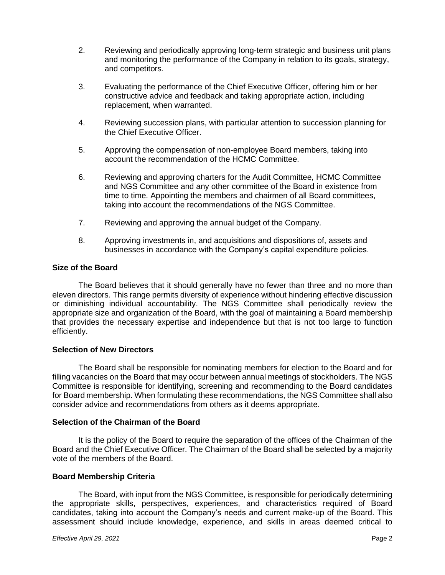- 2. Reviewing and periodically approving long-term strategic and business unit plans and monitoring the performance of the Company in relation to its goals, strategy, and competitors.
- 3. Evaluating the performance of the Chief Executive Officer, offering him or her constructive advice and feedback and taking appropriate action, including replacement, when warranted.
- 4. Reviewing succession plans, with particular attention to succession planning for the Chief Executive Officer.
- 5. Approving the compensation of non-employee Board members, taking into account the recommendation of the HCMC Committee.
- 6. Reviewing and approving charters for the Audit Committee, HCMC Committee and NGS Committee and any other committee of the Board in existence from time to time. Appointing the members and chairmen of all Board committees, taking into account the recommendations of the NGS Committee.
- 7. Reviewing and approving the annual budget of the Company.
- 8. Approving investments in, and acquisitions and dispositions of, assets and businesses in accordance with the Company's capital expenditure policies.

#### **Size of the Board**

The Board believes that it should generally have no fewer than three and no more than eleven directors. This range permits diversity of experience without hindering effective discussion or diminishing individual accountability. The NGS Committee shall periodically review the appropriate size and organization of the Board, with the goal of maintaining a Board membership that provides the necessary expertise and independence but that is not too large to function efficiently.

#### **Selection of New Directors**

The Board shall be responsible for nominating members for election to the Board and for filling vacancies on the Board that may occur between annual meetings of stockholders. The NGS Committee is responsible for identifying, screening and recommending to the Board candidates for Board membership. When formulating these recommendations, the NGS Committee shall also consider advice and recommendations from others as it deems appropriate.

#### **Selection of the Chairman of the Board**

It is the policy of the Board to require the separation of the offices of the Chairman of the Board and the Chief Executive Officer. The Chairman of the Board shall be selected by a majority vote of the members of the Board.

# **Board Membership Criteria**

The Board, with input from the NGS Committee, is responsible for periodically determining the appropriate skills, perspectives, experiences, and characteristics required of Board candidates, taking into account the Company's needs and current make-up of the Board. This assessment should include knowledge, experience, and skills in areas deemed critical to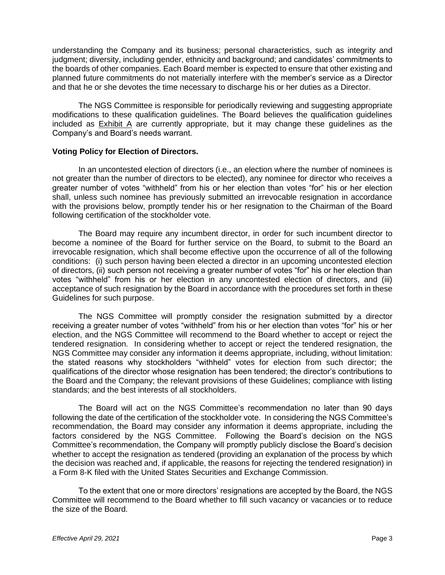understanding the Company and its business; personal characteristics, such as integrity and judgment; diversity, including gender, ethnicity and background; and candidates' commitments to the boards of other companies. Each Board member is expected to ensure that other existing and planned future commitments do not materially interfere with the member's service as a Director and that he or she devotes the time necessary to discharge his or her duties as a Director.

The NGS Committee is responsible for periodically reviewing and suggesting appropriate modifications to these qualification guidelines. The Board believes the qualification guidelines included as Exhibit A are currently appropriate, but it may change these guidelines as the Company's and Board's needs warrant.

#### **Voting Policy for Election of Directors.**

In an uncontested election of directors (i.e., an election where the number of nominees is not greater than the number of directors to be elected), any nominee for director who receives a greater number of votes "withheld" from his or her election than votes "for" his or her election shall, unless such nominee has previously submitted an irrevocable resignation in accordance with the provisions below, promptly tender his or her resignation to the Chairman of the Board following certification of the stockholder vote.

The Board may require any incumbent director, in order for such incumbent director to become a nominee of the Board for further service on the Board, to submit to the Board an irrevocable resignation, which shall become effective upon the occurrence of all of the following conditions: (i) such person having been elected a director in an upcoming uncontested election of directors, (ii) such person not receiving a greater number of votes "for" his or her election than votes "withheld" from his or her election in any uncontested election of directors, and (iii) acceptance of such resignation by the Board in accordance with the procedures set forth in these Guidelines for such purpose.

The NGS Committee will promptly consider the resignation submitted by a director receiving a greater number of votes "withheld" from his or her election than votes "for" his or her election, and the NGS Committee will recommend to the Board whether to accept or reject the tendered resignation. In considering whether to accept or reject the tendered resignation, the NGS Committee may consider any information it deems appropriate, including, without limitation: the stated reasons why stockholders "withheld" votes for election from such director; the qualifications of the director whose resignation has been tendered; the director's contributions to the Board and the Company; the relevant provisions of these Guidelines; compliance with listing standards; and the best interests of all stockholders.

The Board will act on the NGS Committee's recommendation no later than 90 days following the date of the certification of the stockholder vote. In considering the NGS Committee's recommendation, the Board may consider any information it deems appropriate, including the factors considered by the NGS Committee. Following the Board's decision on the NGS Committee's recommendation, the Company will promptly publicly disclose the Board's decision whether to accept the resignation as tendered (providing an explanation of the process by which the decision was reached and, if applicable, the reasons for rejecting the tendered resignation) in a Form 8-K filed with the United States Securities and Exchange Commission.

To the extent that one or more directors' resignations are accepted by the Board, the NGS Committee will recommend to the Board whether to fill such vacancy or vacancies or to reduce the size of the Board.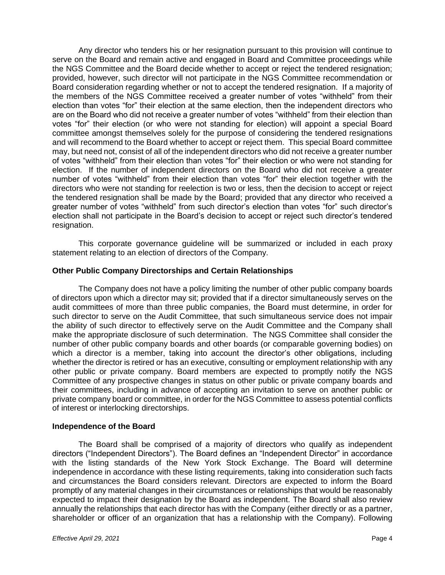Any director who tenders his or her resignation pursuant to this provision will continue to serve on the Board and remain active and engaged in Board and Committee proceedings while the NGS Committee and the Board decide whether to accept or reject the tendered resignation; provided, however, such director will not participate in the NGS Committee recommendation or Board consideration regarding whether or not to accept the tendered resignation. If a majority of the members of the NGS Committee received a greater number of votes "withheld" from their election than votes "for" their election at the same election, then the independent directors who are on the Board who did not receive a greater number of votes "withheld" from their election than votes "for" their election (or who were not standing for election) will appoint a special Board committee amongst themselves solely for the purpose of considering the tendered resignations and will recommend to the Board whether to accept or reject them. This special Board committee may, but need not, consist of all of the independent directors who did not receive a greater number of votes "withheld" from their election than votes "for" their election or who were not standing for election. If the number of independent directors on the Board who did not receive a greater number of votes "withheld" from their election than votes "for" their election together with the directors who were not standing for reelection is two or less, then the decision to accept or reject the tendered resignation shall be made by the Board; provided that any director who received a greater number of votes "withheld" from such director's election than votes "for" such director's election shall not participate in the Board's decision to accept or reject such director's tendered resignation.

This corporate governance guideline will be summarized or included in each proxy statement relating to an election of directors of the Company.

#### **Other Public Company Directorships and Certain Relationships**

The Company does not have a policy limiting the number of other public company boards of directors upon which a director may sit; provided that if a director simultaneously serves on the audit committees of more than three public companies, the Board must determine, in order for such director to serve on the Audit Committee, that such simultaneous service does not impair the ability of such director to effectively serve on the Audit Committee and the Company shall make the appropriate disclosure of such determination. The NGS Committee shall consider the number of other public company boards and other boards (or comparable governing bodies) on which a director is a member, taking into account the director's other obligations, including whether the director is retired or has an executive, consulting or employment relationship with any other public or private company. Board members are expected to promptly notify the NGS Committee of any prospective changes in status on other public or private company boards and their committees, including in advance of accepting an invitation to serve on another public or private company board or committee, in order for the NGS Committee to assess potential conflicts of interest or interlocking directorships.

#### **Independence of the Board**

The Board shall be comprised of a majority of directors who qualify as independent directors ("Independent Directors"). The Board defines an "Independent Director" in accordance with the listing standards of the New York Stock Exchange. The Board will determine independence in accordance with these listing requirements, taking into consideration such facts and circumstances the Board considers relevant. Directors are expected to inform the Board promptly of any material changes in their circumstances or relationships that would be reasonably expected to impact their designation by the Board as independent. The Board shall also review annually the relationships that each director has with the Company (either directly or as a partner, shareholder or officer of an organization that has a relationship with the Company). Following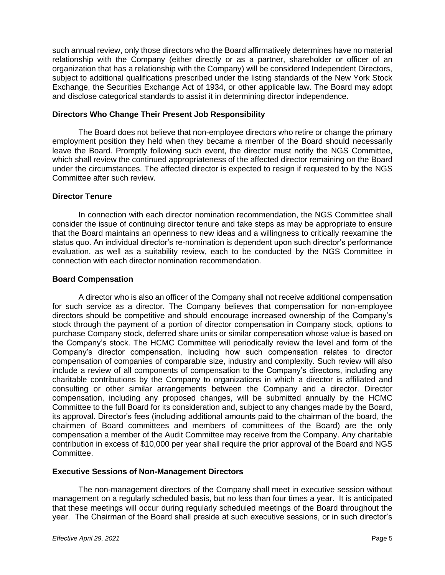such annual review, only those directors who the Board affirmatively determines have no material relationship with the Company (either directly or as a partner, shareholder or officer of an organization that has a relationship with the Company) will be considered Independent Directors, subject to additional qualifications prescribed under the listing standards of the New York Stock Exchange, the Securities Exchange Act of 1934, or other applicable law. The Board may adopt and disclose categorical standards to assist it in determining director independence.

### **Directors Who Change Their Present Job Responsibility**

The Board does not believe that non-employee directors who retire or change the primary employment position they held when they became a member of the Board should necessarily leave the Board. Promptly following such event, the director must notify the NGS Committee, which shall review the continued appropriateness of the affected director remaining on the Board under the circumstances. The affected director is expected to resign if requested to by the NGS Committee after such review.

## **Director Tenure**

In connection with each director nomination recommendation, the NGS Committee shall consider the issue of continuing director tenure and take steps as may be appropriate to ensure that the Board maintains an openness to new ideas and a willingness to critically reexamine the status quo. An individual director's re-nomination is dependent upon such director's performance evaluation, as well as a suitability review, each to be conducted by the NGS Committee in connection with each director nomination recommendation.

### **Board Compensation**

A director who is also an officer of the Company shall not receive additional compensation for such service as a director. The Company believes that compensation for non-employee directors should be competitive and should encourage increased ownership of the Company's stock through the payment of a portion of director compensation in Company stock, options to purchase Company stock, deferred share units or similar compensation whose value is based on the Company's stock. The HCMC Committee will periodically review the level and form of the Company's director compensation, including how such compensation relates to director compensation of companies of comparable size, industry and complexity. Such review will also include a review of all components of compensation to the Company's directors, including any charitable contributions by the Company to organizations in which a director is affiliated and consulting or other similar arrangements between the Company and a director. Director compensation, including any proposed changes, will be submitted annually by the HCMC Committee to the full Board for its consideration and, subject to any changes made by the Board, its approval. Director's fees (including additional amounts paid to the chairman of the board, the chairmen of Board committees and members of committees of the Board) are the only compensation a member of the Audit Committee may receive from the Company. Any charitable contribution in excess of \$10,000 per year shall require the prior approval of the Board and NGS Committee.

#### **Executive Sessions of Non-Management Directors**

The non-management directors of the Company shall meet in executive session without management on a regularly scheduled basis, but no less than four times a year. It is anticipated that these meetings will occur during regularly scheduled meetings of the Board throughout the year. The Chairman of the Board shall preside at such executive sessions, or in such director's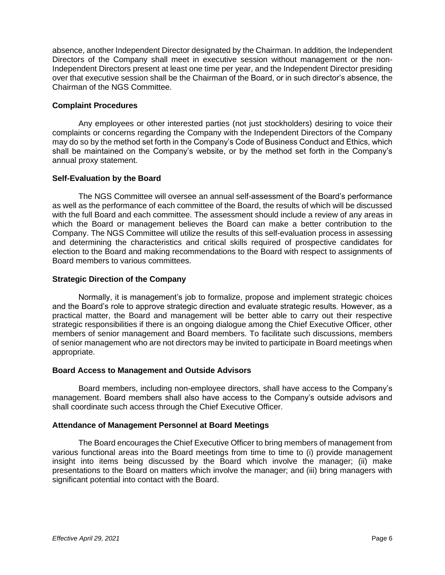absence, another Independent Director designated by the Chairman. In addition, the Independent Directors of the Company shall meet in executive session without management or the non-Independent Directors present at least one time per year, and the Independent Director presiding over that executive session shall be the Chairman of the Board, or in such director's absence, the Chairman of the NGS Committee.

## **Complaint Procedures**

Any employees or other interested parties (not just stockholders) desiring to voice their complaints or concerns regarding the Company with the Independent Directors of the Company may do so by the method set forth in the Company's Code of Business Conduct and Ethics, which shall be maintained on the Company's website, or by the method set forth in the Company's annual proxy statement.

### **Self-Evaluation by the Board**

The NGS Committee will oversee an annual self-assessment of the Board's performance as well as the performance of each committee of the Board, the results of which will be discussed with the full Board and each committee. The assessment should include a review of any areas in which the Board or management believes the Board can make a better contribution to the Company. The NGS Committee will utilize the results of this self-evaluation process in assessing and determining the characteristics and critical skills required of prospective candidates for election to the Board and making recommendations to the Board with respect to assignments of Board members to various committees.

#### **Strategic Direction of the Company**

Normally, it is management's job to formalize, propose and implement strategic choices and the Board's role to approve strategic direction and evaluate strategic results. However, as a practical matter, the Board and management will be better able to carry out their respective strategic responsibilities if there is an ongoing dialogue among the Chief Executive Officer, other members of senior management and Board members. To facilitate such discussions, members of senior management who are not directors may be invited to participate in Board meetings when appropriate.

#### **Board Access to Management and Outside Advisors**

Board members, including non-employee directors, shall have access to the Company's management. Board members shall also have access to the Company's outside advisors and shall coordinate such access through the Chief Executive Officer.

#### **Attendance of Management Personnel at Board Meetings**

The Board encourages the Chief Executive Officer to bring members of management from various functional areas into the Board meetings from time to time to (i) provide management insight into items being discussed by the Board which involve the manager; (ii) make presentations to the Board on matters which involve the manager; and (iii) bring managers with significant potential into contact with the Board.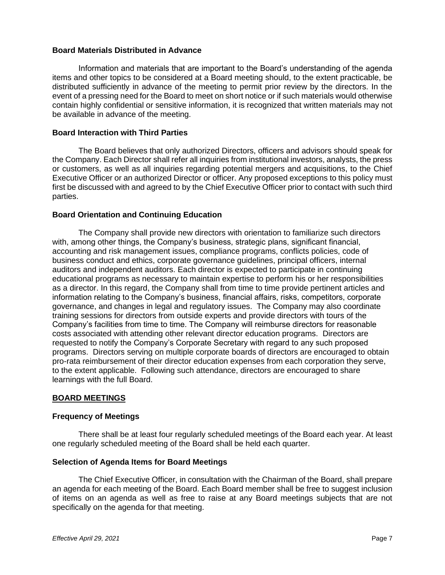### **Board Materials Distributed in Advance**

Information and materials that are important to the Board's understanding of the agenda items and other topics to be considered at a Board meeting should, to the extent practicable, be distributed sufficiently in advance of the meeting to permit prior review by the directors. In the event of a pressing need for the Board to meet on short notice or if such materials would otherwise contain highly confidential or sensitive information, it is recognized that written materials may not be available in advance of the meeting.

#### **Board Interaction with Third Parties**

The Board believes that only authorized Directors, officers and advisors should speak for the Company. Each Director shall refer all inquiries from institutional investors, analysts, the press or customers, as well as all inquiries regarding potential mergers and acquisitions, to the Chief Executive Officer or an authorized Director or officer. Any proposed exceptions to this policy must first be discussed with and agreed to by the Chief Executive Officer prior to contact with such third parties.

### **Board Orientation and Continuing Education**

The Company shall provide new directors with orientation to familiarize such directors with, among other things, the Company's business, strategic plans, significant financial, accounting and risk management issues, compliance programs, conflicts policies, code of business conduct and ethics, corporate governance guidelines, principal officers, internal auditors and independent auditors. Each director is expected to participate in continuing educational programs as necessary to maintain expertise to perform his or her responsibilities as a director. In this regard, the Company shall from time to time provide pertinent articles and information relating to the Company's business, financial affairs, risks, competitors, corporate governance, and changes in legal and regulatory issues. The Company may also coordinate training sessions for directors from outside experts and provide directors with tours of the Company's facilities from time to time. The Company will reimburse directors for reasonable costs associated with attending other relevant director education programs. Directors are requested to notify the Company's Corporate Secretary with regard to any such proposed programs. Directors serving on multiple corporate boards of directors are encouraged to obtain pro-rata reimbursement of their director education expenses from each corporation they serve, to the extent applicable. Following such attendance, directors are encouraged to share learnings with the full Board.

# **BOARD MEETINGS**

#### **Frequency of Meetings**

There shall be at least four regularly scheduled meetings of the Board each year. At least one regularly scheduled meeting of the Board shall be held each quarter.

#### **Selection of Agenda Items for Board Meetings**

The Chief Executive Officer, in consultation with the Chairman of the Board, shall prepare an agenda for each meeting of the Board. Each Board member shall be free to suggest inclusion of items on an agenda as well as free to raise at any Board meetings subjects that are not specifically on the agenda for that meeting.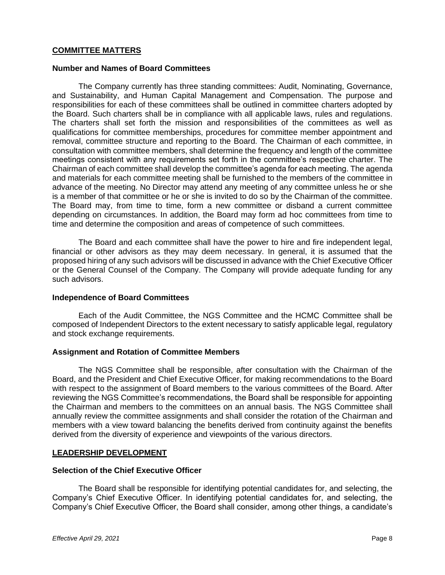### **COMMITTEE MATTERS**

#### **Number and Names of Board Committees**

The Company currently has three standing committees: Audit, Nominating, Governance, and Sustainability, and Human Capital Management and Compensation. The purpose and responsibilities for each of these committees shall be outlined in committee charters adopted by the Board. Such charters shall be in compliance with all applicable laws, rules and regulations. The charters shall set forth the mission and responsibilities of the committees as well as qualifications for committee memberships, procedures for committee member appointment and removal, committee structure and reporting to the Board. The Chairman of each committee, in consultation with committee members, shall determine the frequency and length of the committee meetings consistent with any requirements set forth in the committee's respective charter. The Chairman of each committee shall develop the committee's agenda for each meeting. The agenda and materials for each committee meeting shall be furnished to the members of the committee in advance of the meeting. No Director may attend any meeting of any committee unless he or she is a member of that committee or he or she is invited to do so by the Chairman of the committee. The Board may, from time to time, form a new committee or disband a current committee depending on circumstances. In addition, the Board may form ad hoc committees from time to time and determine the composition and areas of competence of such committees.

The Board and each committee shall have the power to hire and fire independent legal, financial or other advisors as they may deem necessary. In general, it is assumed that the proposed hiring of any such advisors will be discussed in advance with the Chief Executive Officer or the General Counsel of the Company. The Company will provide adequate funding for any such advisors.

#### **Independence of Board Committees**

Each of the Audit Committee, the NGS Committee and the HCMC Committee shall be composed of Independent Directors to the extent necessary to satisfy applicable legal, regulatory and stock exchange requirements.

#### **Assignment and Rotation of Committee Members**

The NGS Committee shall be responsible, after consultation with the Chairman of the Board, and the President and Chief Executive Officer, for making recommendations to the Board with respect to the assignment of Board members to the various committees of the Board. After reviewing the NGS Committee's recommendations, the Board shall be responsible for appointing the Chairman and members to the committees on an annual basis. The NGS Committee shall annually review the committee assignments and shall consider the rotation of the Chairman and members with a view toward balancing the benefits derived from continuity against the benefits derived from the diversity of experience and viewpoints of the various directors.

#### **LEADERSHIP DEVELOPMENT**

### **Selection of the Chief Executive Officer**

The Board shall be responsible for identifying potential candidates for, and selecting, the Company's Chief Executive Officer. In identifying potential candidates for, and selecting, the Company's Chief Executive Officer, the Board shall consider, among other things, a candidate's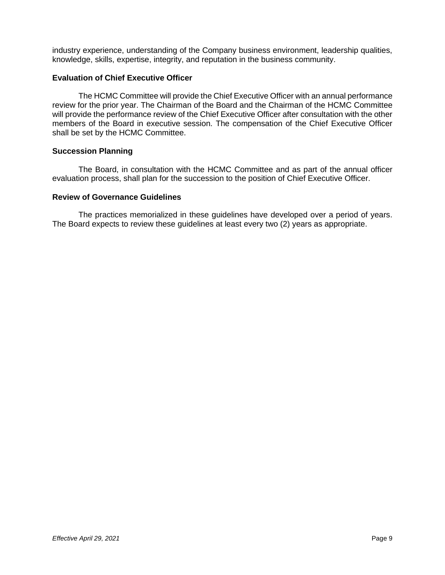industry experience, understanding of the Company business environment, leadership qualities, knowledge, skills, expertise, integrity, and reputation in the business community.

### **Evaluation of Chief Executive Officer**

The HCMC Committee will provide the Chief Executive Officer with an annual performance review for the prior year. The Chairman of the Board and the Chairman of the HCMC Committee will provide the performance review of the Chief Executive Officer after consultation with the other members of the Board in executive session. The compensation of the Chief Executive Officer shall be set by the HCMC Committee.

#### **Succession Planning**

The Board, in consultation with the HCMC Committee and as part of the annual officer evaluation process, shall plan for the succession to the position of Chief Executive Officer.

#### **Review of Governance Guidelines**

The practices memorialized in these guidelines have developed over a period of years. The Board expects to review these guidelines at least every two (2) years as appropriate.